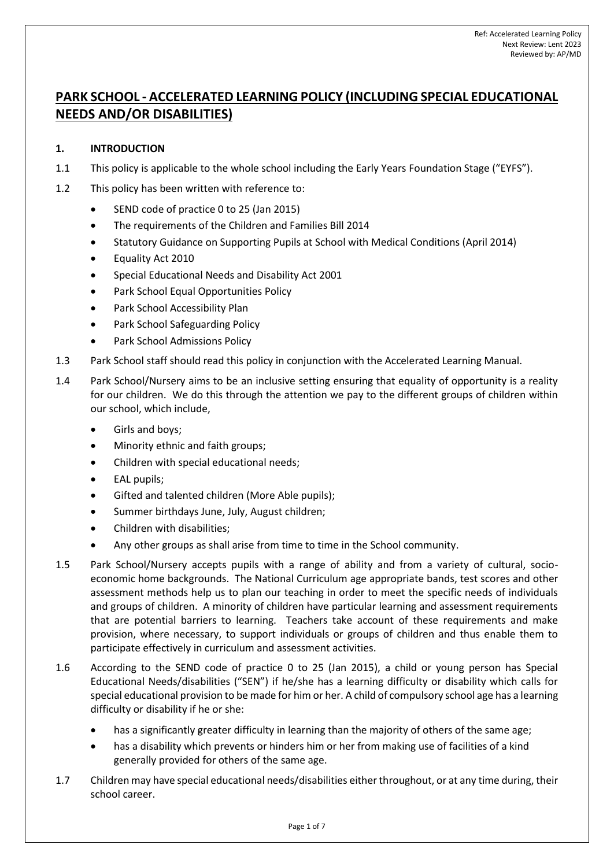# **PARK SCHOOL - ACCELERATED LEARNING POLICY (INCLUDING SPECIAL EDUCATIONAL NEEDS AND/OR DISABILITIES)**

# **1. INTRODUCTION**

- 1.1 This policy is applicable to the whole school including the Early Years Foundation Stage ("EYFS").
- 1.2 This policy has been written with reference to:
	- SEND code of practice 0 to 25 (Jan 2015)
	- The requirements of the Children and Families Bill 2014
	- Statutory Guidance on Supporting Pupils at School with Medical Conditions (April 2014)
	- Equality Act 2010
	- Special Educational Needs and Disability Act 2001
	- Park School Equal Opportunities Policy
	- Park School Accessibility Plan
	- Park School Safeguarding Policy
	- Park School Admissions Policy
- 1.3 Park School staff should read this policy in conjunction with the Accelerated Learning Manual.
- 1.4 Park School/Nursery aims to be an inclusive setting ensuring that equality of opportunity is a reality for our children. We do this through the attention we pay to the different groups of children within our school, which include,
	- Girls and boys;
	- Minority ethnic and faith groups;
	- Children with special educational needs;
	- EAL pupils;
	- Gifted and talented children (More Able pupils);
	- Summer birthdays June, July, August children;
	- Children with disabilities;
	- Any other groups as shall arise from time to time in the School community.
- 1.5 Park School/Nursery accepts pupils with a range of ability and from a variety of cultural, socioeconomic home backgrounds. The National Curriculum age appropriate bands, test scores and other assessment methods help us to plan our teaching in order to meet the specific needs of individuals and groups of children. A minority of children have particular learning and assessment requirements that are potential barriers to learning. Teachers take account of these requirements and make provision, where necessary, to support individuals or groups of children and thus enable them to participate effectively in curriculum and assessment activities.
- 1.6 According to the SEND code of practice 0 to 25 (Jan 2015), a child or young person has Special Educational Needs/disabilities ("SEN") if he/she has a learning difficulty or disability which calls for special educational provision to be made for him or her. A child of compulsory school age has a learning difficulty or disability if he or she:
	- has a significantly greater difficulty in learning than the majority of others of the same age;
	- has a disability which prevents or hinders him or her from making use of facilities of a kind generally provided for others of the same age.
- 1.7 Children may have special educational needs/disabilities either throughout, or at any time during, their school career.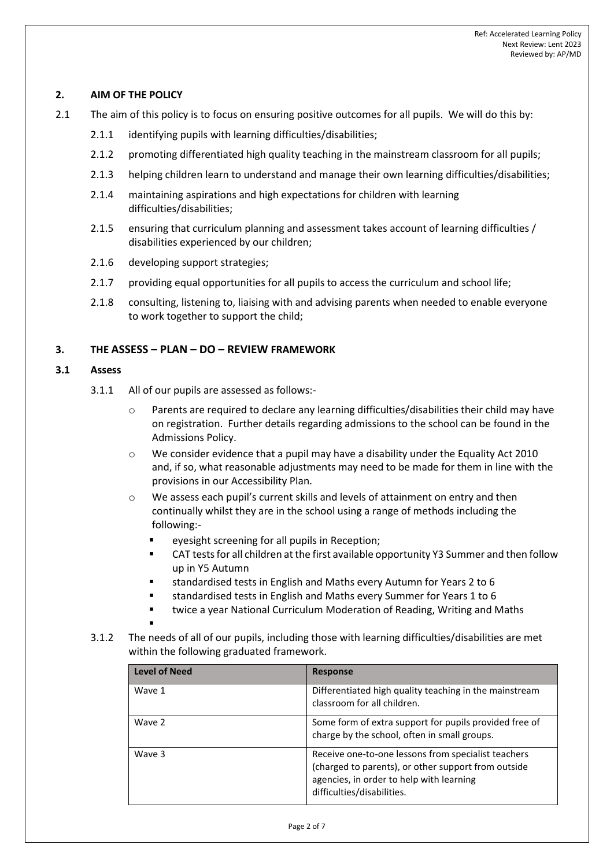# **2. AIM OF THE POLICY**

- 2.1 The aim of this policy is to focus on ensuring positive outcomes for all pupils. We will do this by:
	- 2.1.1 identifying pupils with learning difficulties/disabilities;
	- 2.1.2 promoting differentiated high quality teaching in the mainstream classroom for all pupils;
	- 2.1.3 helping children learn to understand and manage their own learning difficulties/disabilities;
	- 2.1.4 maintaining aspirations and high expectations for children with learning difficulties/disabilities;
	- 2.1.5 ensuring that curriculum planning and assessment takes account of learning difficulties / disabilities experienced by our children;
	- 2.1.6 developing support strategies;
	- 2.1.7 providing equal opportunities for all pupils to access the curriculum and school life;
	- 2.1.8 consulting, listening to, liaising with and advising parents when needed to enable everyone to work together to support the child;

# **3. THE ASSESS – PLAN – DO – REVIEW FRAMEWORK**

## **3.1 Assess**

- 3.1.1 All of our pupils are assessed as follows:-
	- $\circ$  Parents are required to declare any learning difficulties/disabilities their child may have on registration. Further details regarding admissions to the school can be found in the Admissions Policy.
	- $\circ$  We consider evidence that a pupil may have a disability under the Equality Act 2010 and, if so, what reasonable adjustments may need to be made for them in line with the provisions in our Accessibility Plan.
	- o We assess each pupil's current skills and levels of attainment on entry and then continually whilst they are in the school using a range of methods including the following:-
		- eyesight screening for all pupils in Reception;
		- CAT tests for all children at the first available opportunity Y3 Summer and then follow up in Y5 Autumn
		- standardised tests in English and Maths every Autumn for Years 2 to 6
		- standardised tests in English and Maths every Summer for Years 1 to 6
		- twice a year National Curriculum Moderation of Reading, Writing and Maths
		- ▪
- 3.1.2 The needs of all of our pupils, including those with learning difficulties/disabilities are met within the following graduated framework.

| <b>Level of Need</b> | <b>Response</b>                                                                                                                                                                      |
|----------------------|--------------------------------------------------------------------------------------------------------------------------------------------------------------------------------------|
| Wave 1               | Differentiated high quality teaching in the mainstream<br>classroom for all children.                                                                                                |
| Wave 2               | Some form of extra support for pupils provided free of<br>charge by the school, often in small groups.                                                                               |
| Wave 3               | Receive one-to-one lessons from specialist teachers<br>(charged to parents), or other support from outside<br>agencies, in order to help with learning<br>difficulties/disabilities. |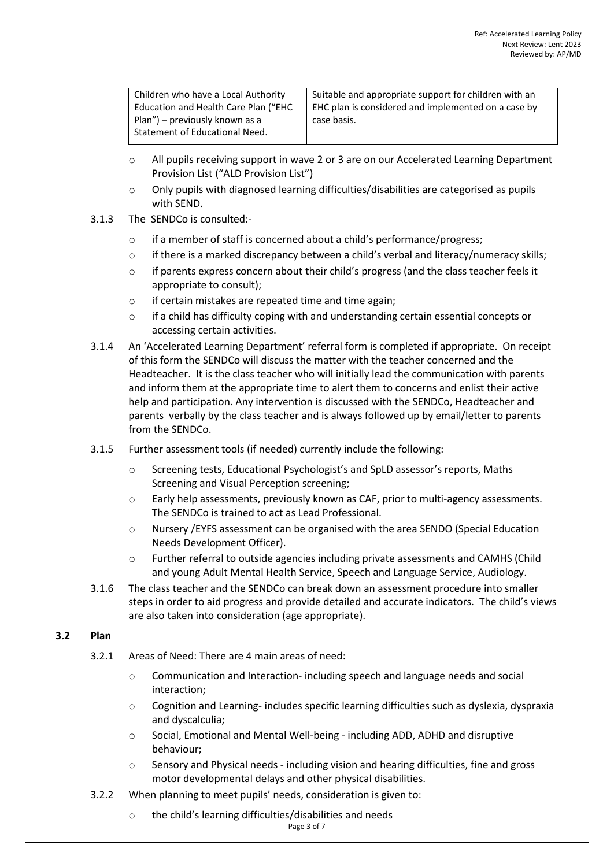| Children who have a Local Authority  | Suitable and appropriate support for children with an |
|--------------------------------------|-------------------------------------------------------|
| Education and Health Care Plan ("EHC | EHC plan is considered and implemented on a case by   |
| Plan") – previously known as a       | case basis.                                           |
| Statement of Educational Need.       |                                                       |
|                                      |                                                       |

- o All pupils receiving support in wave 2 or 3 are on our Accelerated Learning Department Provision List ("ALD Provision List")
- o Only pupils with diagnosed learning difficulties/disabilities are categorised as pupils with SEND.
- 3.1.3 The SENDCo is consulted:
	- o if a member of staff is concerned about a child's performance/progress;
	- $\circ$  if there is a marked discrepancy between a child's verbal and literacy/numeracy skills;
	- $\circ$  if parents express concern about their child's progress (and the class teacher feels it appropriate to consult);
	- o if certain mistakes are repeated time and time again;
	- o if a child has difficulty coping with and understanding certain essential concepts or accessing certain activities.
- 3.1.4 An 'Accelerated Learning Department' referral form is completed if appropriate. On receipt of this form the SENDCo will discuss the matter with the teacher concerned and the Headteacher. It is the class teacher who will initially lead the communication with parents and inform them at the appropriate time to alert them to concerns and enlist their active help and participation. Any intervention is discussed with the SENDCo, Headteacher and parents verbally by the class teacher and is always followed up by email/letter to parents from the SENDCo.
- 3.1.5 Further assessment tools (if needed) currently include the following:
	- o Screening tests, Educational Psychologist's and SpLD assessor's reports, Maths Screening and Visual Perception screening;
	- o Early help assessments, previously known as CAF, prior to multi-agency assessments. The SENDCo is trained to act as Lead Professional.
	- o Nursery /EYFS assessment can be organised with the area SENDO (Special Education Needs Development Officer).
	- o Further referral to outside agencies including private assessments and CAMHS (Child and young Adult Mental Health Service, Speech and Language Service, Audiology.
- 3.1.6 The class teacher and the SENDCo can break down an assessment procedure into smaller steps in order to aid progress and provide detailed and accurate indicators. The child's views are also taken into consideration (age appropriate).

## **3.2 Plan**

- 3.2.1 Areas of Need: There are 4 main areas of need:
	- o Communication and Interaction- including speech and language needs and social interaction;
	- $\circ$  Cognition and Learning-includes specific learning difficulties such as dyslexia, dyspraxia and dyscalculia;
	- o Social, Emotional and Mental Well-being including ADD, ADHD and disruptive behaviour;
	- $\circ$  Sensory and Physical needs including vision and hearing difficulties, fine and gross motor developmental delays and other physical disabilities.
- 3.2.2 When planning to meet pupils' needs, consideration is given to:
	- o the child's learning difficulties/disabilities and needs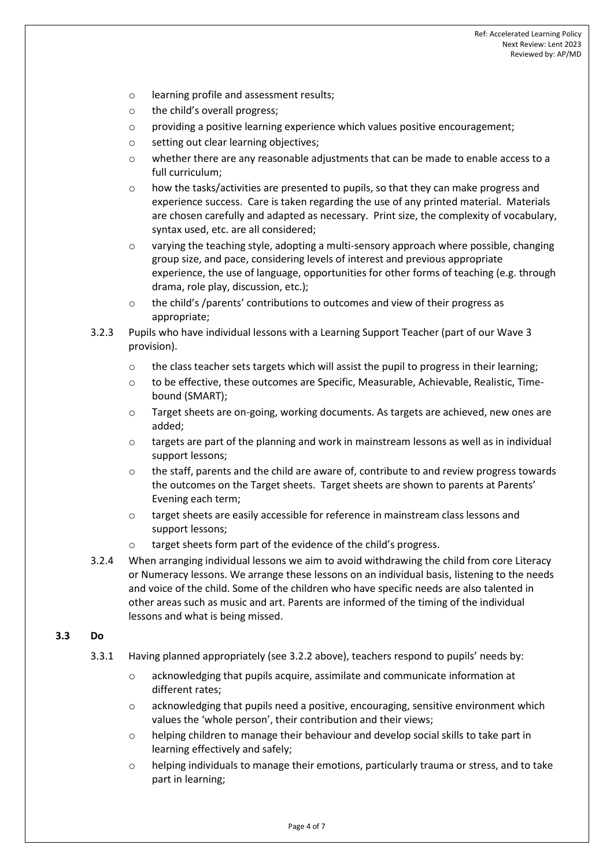- o learning profile and assessment results;
- o the child's overall progress;
- $\circ$  providing a positive learning experience which values positive encouragement;
- o setting out clear learning objectives;
- $\circ$  whether there are any reasonable adjustments that can be made to enable access to a full curriculum;
- $\circ$  how the tasks/activities are presented to pupils, so that they can make progress and experience success. Care is taken regarding the use of any printed material. Materials are chosen carefully and adapted as necessary. Print size, the complexity of vocabulary, syntax used, etc. are all considered;
- o varying the teaching style, adopting a multi-sensory approach where possible, changing group size, and pace, considering levels of interest and previous appropriate experience, the use of language, opportunities for other forms of teaching (e.g. through drama, role play, discussion, etc.);
- $\circ$  the child's /parents' contributions to outcomes and view of their progress as appropriate;
- 3.2.3 Pupils who have individual lessons with a Learning Support Teacher (part of our Wave 3 provision).
	- $\circ$  the class teacher sets targets which will assist the pupil to progress in their learning;
	- $\circ$  to be effective, these outcomes are Specific, Measurable, Achievable, Realistic, Timebound (SMART);
	- o Target sheets are on-going, working documents. As targets are achieved, new ones are added;
	- $\circ$  targets are part of the planning and work in mainstream lessons as well as in individual support lessons;
	- $\circ$  the staff, parents and the child are aware of, contribute to and review progress towards the outcomes on the Target sheets. Target sheets are shown to parents at Parents' Evening each term;
	- o target sheets are easily accessible for reference in mainstream class lessons and support lessons;
	- o target sheets form part of the evidence of the child's progress.
- 3.2.4 When arranging individual lessons we aim to avoid withdrawing the child from core Literacy or Numeracy lessons. We arrange these lessons on an individual basis, listening to the needs and voice of the child. Some of the children who have specific needs are also talented in other areas such as music and art. Parents are informed of the timing of the individual lessons and what is being missed.

## **3.3 Do**

- 3.3.1 Having planned appropriately (see 3.2.2 above), teachers respond to pupils' needs by:
	- o acknowledging that pupils acquire, assimilate and communicate information at different rates;
	- $\circ$  acknowledging that pupils need a positive, encouraging, sensitive environment which values the 'whole person', their contribution and their views;
	- o helping children to manage their behaviour and develop social skills to take part in learning effectively and safely;
	- $\circ$  helping individuals to manage their emotions, particularly trauma or stress, and to take part in learning;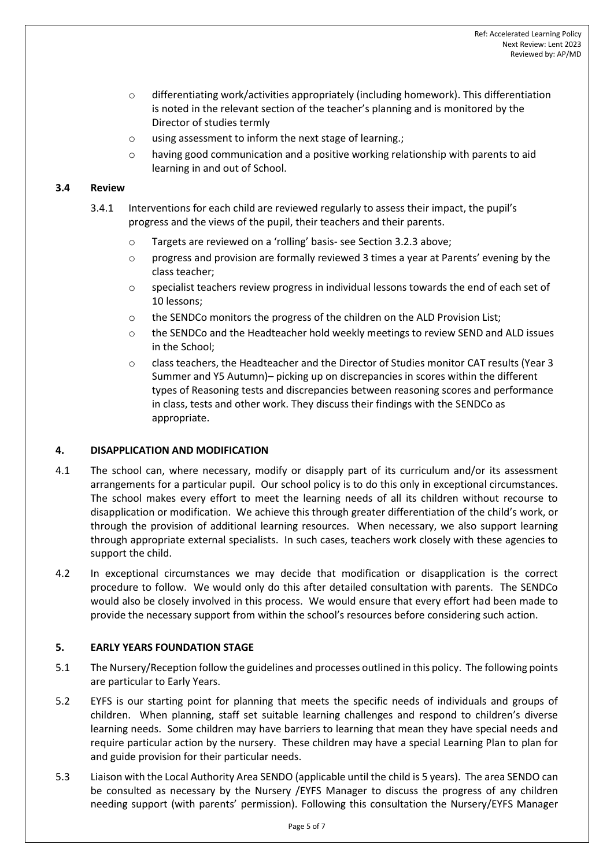- $\circ$  differentiating work/activities appropriately (including homework). This differentiation is noted in the relevant section of the teacher's planning and is monitored by the Director of studies termly
- o using assessment to inform the next stage of learning.;
- $\circ$  having good communication and a positive working relationship with parents to aid learning in and out of School.

## **3.4 Review**

- 3.4.1 Interventions for each child are reviewed regularly to assess their impact, the pupil's progress and the views of the pupil, their teachers and their parents.
	- o Targets are reviewed on a 'rolling' basis- see Section 3.2.3 above;
	- $\circ$  progress and provision are formally reviewed 3 times a year at Parents' evening by the class teacher;
	- $\circ$  specialist teachers review progress in individual lessons towards the end of each set of 10 lessons;
	- $\circ$  the SENDCo monitors the progress of the children on the ALD Provision List;
	- $\circ$  the SENDCo and the Headteacher hold weekly meetings to review SEND and ALD issues in the School;
	- o class teachers, the Headteacher and the Director of Studies monitor CAT results (Year 3 Summer and Y5 Autumn)– picking up on discrepancies in scores within the different types of Reasoning tests and discrepancies between reasoning scores and performance in class, tests and other work. They discuss their findings with the SENDCo as appropriate.

#### **4. DISAPPLICATION AND MODIFICATION**

- 4.1 The school can, where necessary, modify or disapply part of its curriculum and/or its assessment arrangements for a particular pupil. Our school policy is to do this only in exceptional circumstances. The school makes every effort to meet the learning needs of all its children without recourse to disapplication or modification. We achieve this through greater differentiation of the child's work, or through the provision of additional learning resources. When necessary, we also support learning through appropriate external specialists. In such cases, teachers work closely with these agencies to support the child.
- 4.2 In exceptional circumstances we may decide that modification or disapplication is the correct procedure to follow. We would only do this after detailed consultation with parents. The SENDCo would also be closely involved in this process. We would ensure that every effort had been made to provide the necessary support from within the school's resources before considering such action.

## **5. EARLY YEARS FOUNDATION STAGE**

- 5.1 The Nursery/Reception follow the guidelines and processes outlined in this policy. The following points are particular to Early Years.
- 5.2 EYFS is our starting point for planning that meets the specific needs of individuals and groups of children. When planning, staff set suitable learning challenges and respond to children's diverse learning needs. Some children may have barriers to learning that mean they have special needs and require particular action by the nursery. These children may have a special Learning Plan to plan for and guide provision for their particular needs.
- 5.3 Liaison with the Local Authority Area SENDO (applicable until the child is 5 years). The area SENDO can be consulted as necessary by the Nursery /EYFS Manager to discuss the progress of any children needing support (with parents' permission). Following this consultation the Nursery/EYFS Manager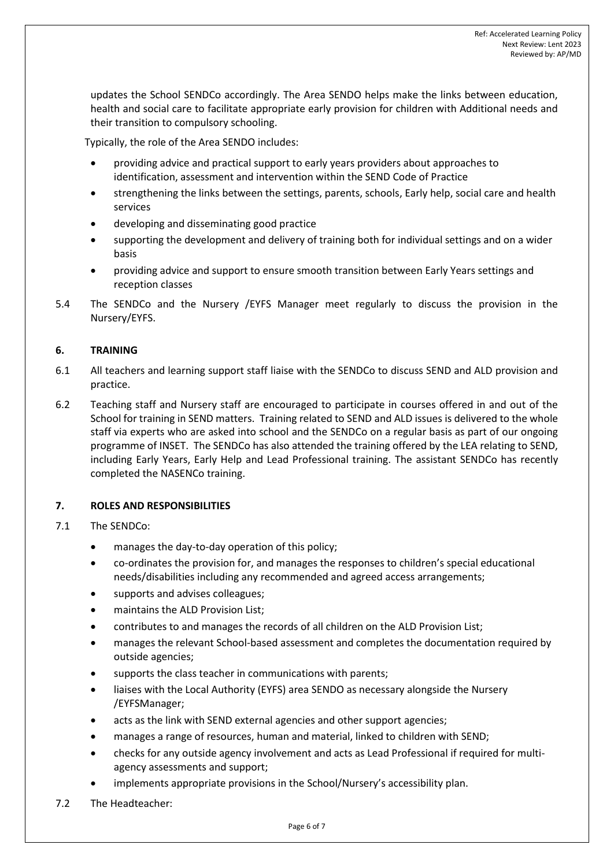updates the School SENDCo accordingly. The Area SENDO helps make the links between education, health and social care to facilitate appropriate early provision for children with Additional needs and their transition to compulsory schooling.

Typically, the role of the Area SENDO includes:

- providing advice and practical support to early years providers about approaches to identification, assessment and intervention within the SEND Code of Practice
- strengthening the links between the settings, parents, schools, Early help, social care and health services
- developing and disseminating good practice
- supporting the development and delivery of training both for individual settings and on a wider basis
- providing advice and support to ensure smooth transition between Early Years settings and reception classes
- 5.4 The SENDCo and the Nursery /EYFS Manager meet regularly to discuss the provision in the Nursery/EYFS.

## **6. TRAINING**

- 6.1 All teachers and learning support staff liaise with the SENDCo to discuss SEND and ALD provision and practice.
- 6.2 Teaching staff and Nursery staff are encouraged to participate in courses offered in and out of the School for training in SEND matters. Training related to SEND and ALD issues is delivered to the whole staff via experts who are asked into school and the SENDCo on a regular basis as part of our ongoing programme of INSET. The SENDCo has also attended the training offered by the LEA relating to SEND, including Early Years, Early Help and Lead Professional training. The assistant SENDCo has recently completed the NASENCo training.

## **7. ROLES AND RESPONSIBILITIES**

- 7.1 The SENDCo:
	- manages the day-to-day operation of this policy;
	- co-ordinates the provision for, and manages the responses to children's special educational needs/disabilities including any recommended and agreed access arrangements;
	- supports and advises colleagues;
	- maintains the ALD Provision List;
	- contributes to and manages the records of all children on the ALD Provision List;
	- manages the relevant School-based assessment and completes the documentation required by outside agencies;
	- supports the class teacher in communications with parents;
	- liaises with the Local Authority (EYFS) area SENDO as necessary alongside the Nursery /EYFSManager;
	- acts as the link with SEND external agencies and other support agencies;
	- manages a range of resources, human and material, linked to children with SEND;
	- checks for any outside agency involvement and acts as Lead Professional if required for multiagency assessments and support;
	- implements appropriate provisions in the School/Nursery's accessibility plan.
- 7.2 The Headteacher: